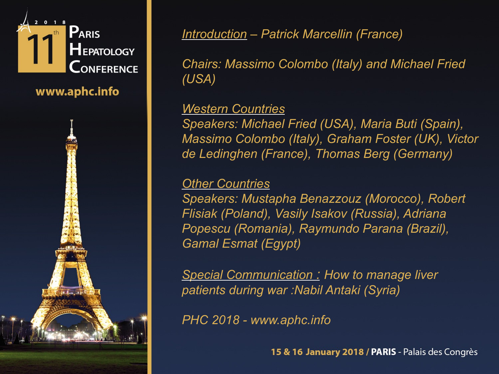

www.aphc.info



*Introduction – Patrick Marcellin (France)* 

*Chairs: Massimo Colombo (Italy) and Michael Fried (USA)*

#### *Western Countries*

*Speakers: Michael Fried (USA), Maria Buti (Spain), Massimo Colombo (Italy), Graham Foster (UK), Victor de Ledinghen (France), Thomas Berg (Germany)* 

#### *Other Countries*

*Speakers: Mustapha Benazzouz (Morocco), Robert Flisiak (Poland), Vasily Isakov (Russia), Adriana Popescu (Romania), Raymundo Parana (Brazil), Gamal Esmat (Egypt)*

*Special Communication : How to manage liver patients during war :Nabil Antaki (Syria)*

*PHC 2018 - www.aphc.info*

15 & 16 January 2018 / PARIS - Palais des Congrès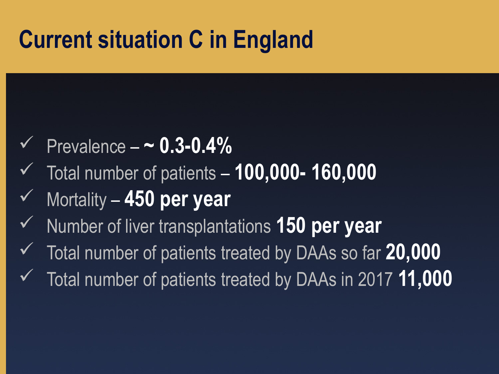# **Current situation C in England**

- Prevalence **~ 0.3-0.4%**
- Total number of patients **100,000- 160,000**
- Mortality **450 per year**
- Number of liver transplantations **150 per year**
- Total number of patients treated by DAAs so far **20,000**
- Total number of patients treated by DAAs in 2017 **11,000**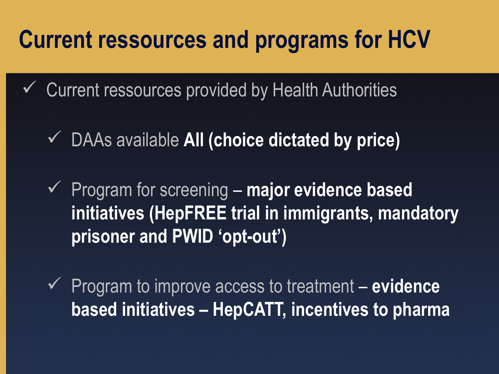## **Current ressources and programs for HCV**

- $\checkmark$  Current ressources provided by Health Authorities
	- DAAs available **All (choice dictated by price)**
	- Program for screening **major evidence based initiatives (HepFREE trial in immigrants, mandatory prisoner and PWID 'opt-out')**
	- Program to improve access to treatment **evidence based initiatives – HepCATT, incentives to pharma**